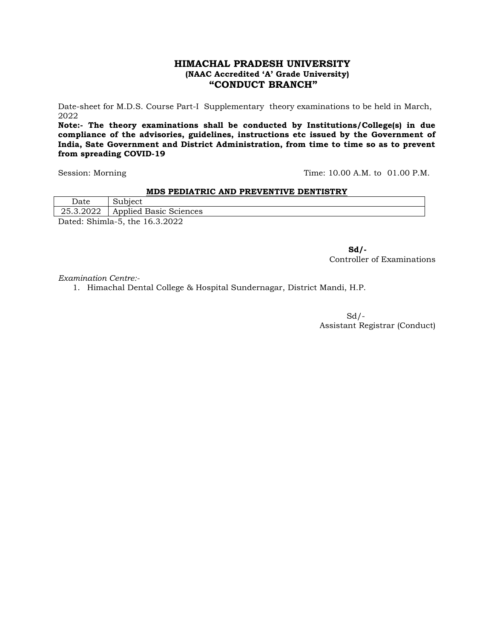# **HIMACHAL PRADESH UNIVERSITY (NAAC Accredited "A" Grade University) "CONDUCT BRANCH"**

Date-sheet for M.D.S. Course Part-I Supplementary theory examinations to be held in March, 2022

**Note:- The theory examinations shall be conducted by Institutions/College(s) in due compliance of the advisories, guidelines, instructions etc issued by the Government of India, Sate Government and District Administration, from time to time so as to prevent from spreading COVID-19**

Session: Morning Time: 10.00 A.M. to 01.00 P.M.

### **MDS PEDIATRIC AND PREVENTIVE DENTISTRY**

| Date | Subject                          |
|------|----------------------------------|
|      | 25.3.2022 Applied Basic Sciences |
|      | Dated: Shimla-5, the 16.3.2022   |

**Sd/-** Controller of Examinations

*Examination Centre:-*

1. Himachal Dental College & Hospital Sundernagar, District Mandi, H.P.

 $Sd$  /-Assistant Registrar (Conduct)